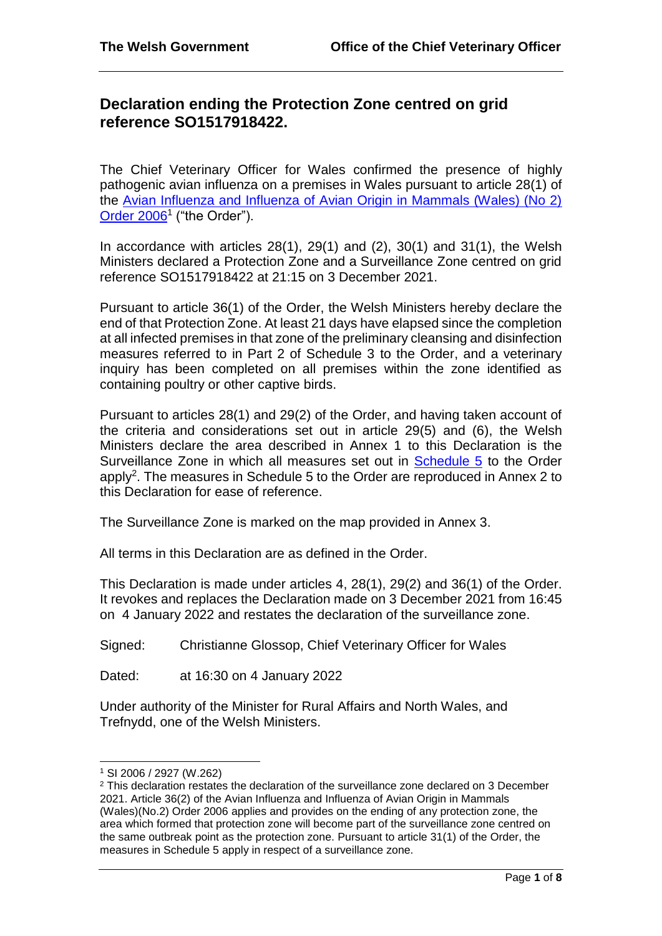# **Declaration ending the Protection Zone centred on grid reference SO1517918422.**

The Chief Veterinary Officer for Wales confirmed the presence of highly pathogenic avian influenza on a premises in Wales pursuant to article 28(1) of the [Avian Influenza and Influenza of Avian Origin in Mammals \(Wales\) \(No 2\)](http://www.legislation.gov.uk/wsi/2006/2927/contents/made)  [Order 2006](http://www.legislation.gov.uk/wsi/2006/2927/contents/made)<sup>1</sup> ("the Order").

In accordance with articles  $28(1)$ ,  $29(1)$  and  $(2)$ ,  $30(1)$  and  $31(1)$ , the Welsh Ministers declared a Protection Zone and a Surveillance Zone centred on grid reference SO1517918422 at 21:15 on 3 December 2021.

Pursuant to article 36(1) of the Order, the Welsh Ministers hereby declare the end of that Protection Zone. At least 21 days have elapsed since the completion at all infected premises in that zone of the preliminary cleansing and disinfection measures referred to in Part 2 of Schedule 3 to the Order, and a veterinary inquiry has been completed on all premises within the zone identified as containing poultry or other captive birds.

Pursuant to articles 28(1) and 29(2) of the Order, and having taken account of the criteria and considerations set out in article 29(5) and (6), the Welsh Ministers declare the area described in Annex 1 to this Declaration is the Surveillance Zone in which all measures set out in Schedule 5 to the Order apply<sup>2</sup>. The measures in Schedule 5 to the Order are reproduced in Annex 2 to this Declaration for ease of reference.

The Surveillance Zone is marked on the map provided in Annex 3.

All terms in this Declaration are as defined in the Order.

This Declaration is made under articles 4, 28(1), 29(2) and 36(1) of the Order. It revokes and replaces the Declaration made on 3 December 2021 from 16:45 on 4 January 2022 and restates the declaration of the surveillance zone.

Signed: Christianne Glossop, Chief Veterinary Officer for Wales

Dated: at 16:30 on 4 January 2022

Under authority of the Minister for Rural Affairs and North Wales, and Trefnydd, one of the Welsh Ministers.

l

<sup>1</sup> SI 2006 / 2927 (W.262)

<sup>2</sup> This declaration restates the declaration of the surveillance zone declared on 3 December 2021. Article 36(2) of the Avian Influenza and Influenza of Avian Origin in Mammals (Wales)(No.2) Order 2006 applies and provides on the ending of any protection zone, the area which formed that protection zone will become part of the surveillance zone centred on the same outbreak point as the protection zone. Pursuant to article 31(1) of the Order, the measures in Schedule 5 apply in respect of a surveillance zone.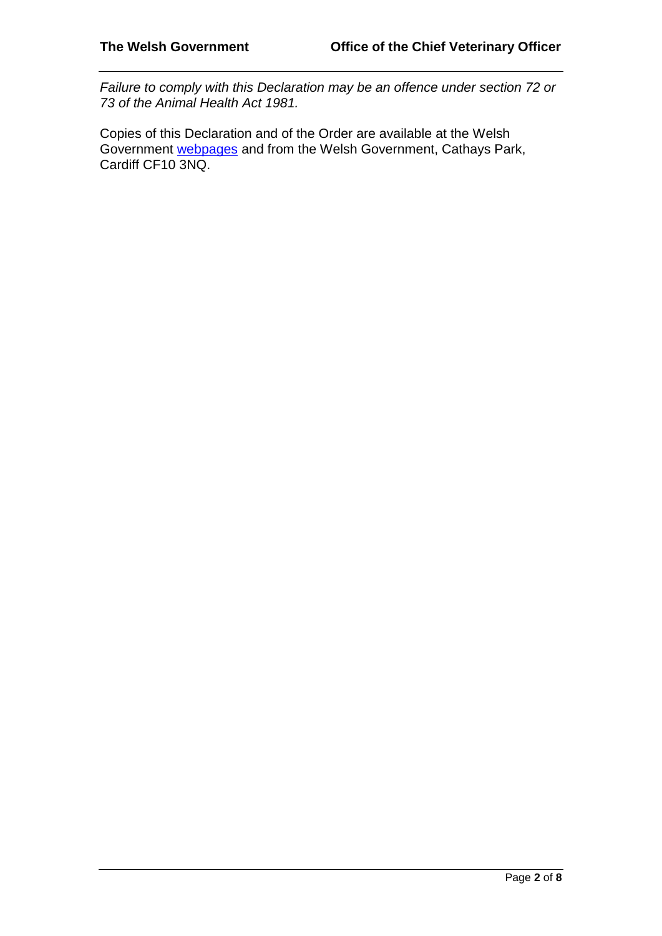*Failure to comply with this Declaration may be an offence under section 72 or 73 of the Animal Health Act 1981.* 

Copies of this Declaration and of the Order are available at the Welsh Government [webpages](http://gov.wales/topics/environmentcountryside/ahw/disease/avianflu/?lang=enand) and from the Welsh Government, Cathays Park, Cardiff CF10 3NQ.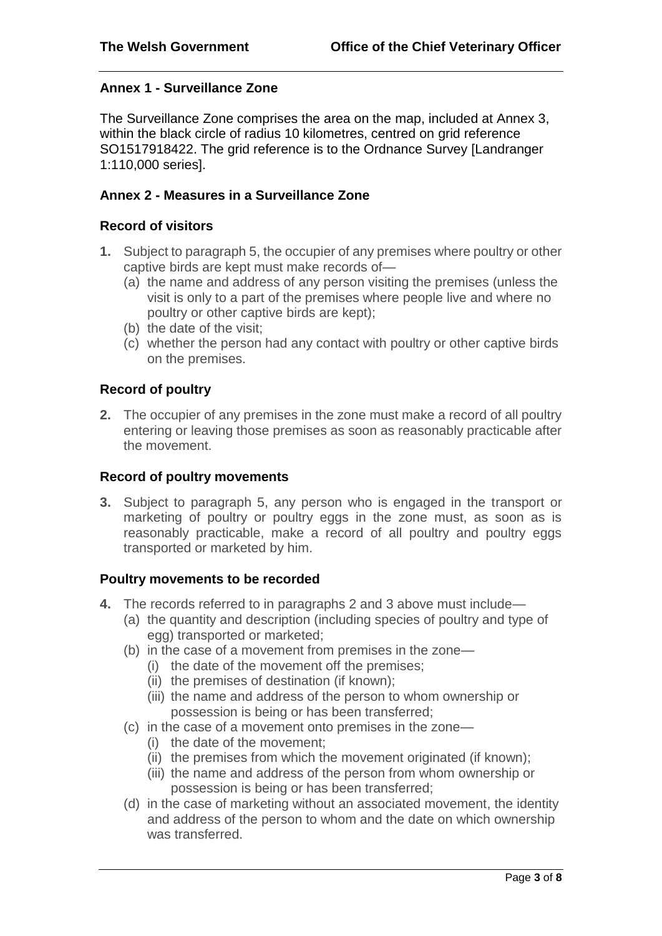# **Annex 1 - Surveillance Zone**

The Surveillance Zone comprises the area on the map, included at Annex 3, within the black circle of radius 10 kilometres, centred on grid reference SO1517918422. The grid reference is to the Ordnance Survey [Landranger 1:110,000 series].

### **Annex 2 - Measures in a Surveillance Zone**

### **Record of visitors**

- **1.** Subject to paragraph 5, the occupier of any premises where poultry or other captive birds are kept must make records of—
	- (a) the name and address of any person visiting the premises (unless the visit is only to a part of the premises where people live and where no poultry or other captive birds are kept);
	- (b) the date of the visit;
	- (c) whether the person had any contact with poultry or other captive birds on the premises.

# **Record of poultry**

**2.** The occupier of any premises in the zone must make a record of all poultry entering or leaving those premises as soon as reasonably practicable after the movement.

# **Record of poultry movements**

**3.** Subject to paragraph 5, any person who is engaged in the transport or marketing of poultry or poultry eggs in the zone must, as soon as is reasonably practicable, make a record of all poultry and poultry eggs transported or marketed by him.

# **Poultry movements to be recorded**

- **4.** The records referred to in paragraphs 2 and 3 above must include—
	- (a) the quantity and description (including species of poultry and type of egg) transported or marketed;
	- (b) in the case of a movement from premises in the zone—
		- (i) the date of the movement off the premises;
		- (ii) the premises of destination (if known);
		- (iii) the name and address of the person to whom ownership or possession is being or has been transferred;
	- (c) in the case of a movement onto premises in the zone—
		- (i) the date of the movement;
		- (ii) the premises from which the movement originated (if known);
		- (iii) the name and address of the person from whom ownership or possession is being or has been transferred;
	- (d) in the case of marketing without an associated movement, the identity and address of the person to whom and the date on which ownership was transferred.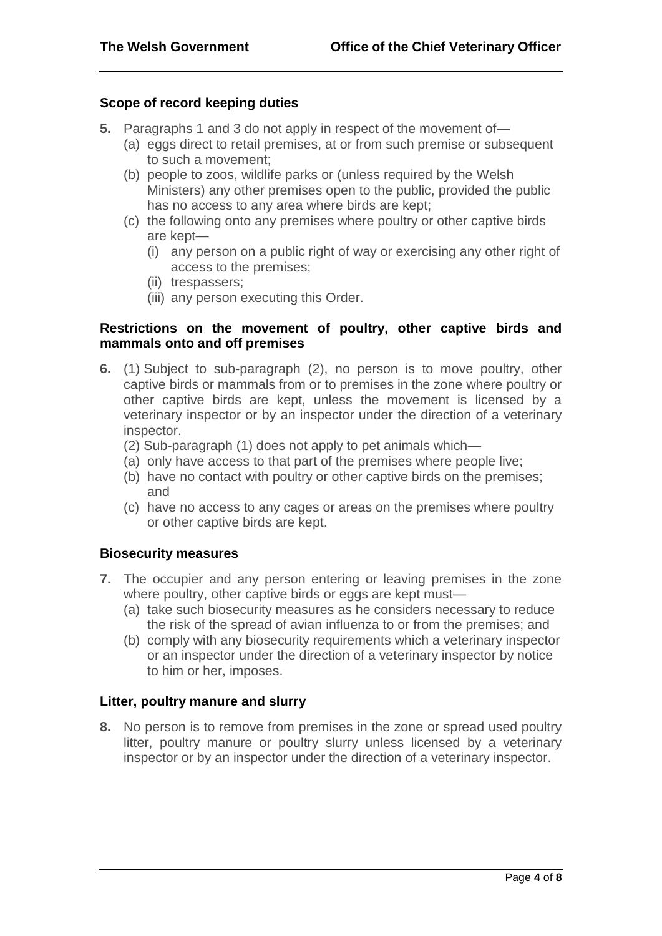### **Scope of record keeping duties**

- **5.** Paragraphs 1 and 3 do not apply in respect of the movement of
	- (a) eggs direct to retail premises, at or from such premise or subsequent to such a movement;
	- (b) people to zoos, wildlife parks or (unless required by the Welsh Ministers) any other premises open to the public, provided the public has no access to any area where birds are kept;
	- (c) the following onto any premises where poultry or other captive birds are kept—
		- (i) any person on a public right of way or exercising any other right of access to the premises;
		- (ii) trespassers;
		- (iii) any person executing this Order.

### **Restrictions on the movement of poultry, other captive birds and mammals onto and off premises**

- **6.** (1) Subject to sub-paragraph (2), no person is to move poultry, other captive birds or mammals from or to premises in the zone where poultry or other captive birds are kept, unless the movement is licensed by a veterinary inspector or by an inspector under the direction of a veterinary inspector.
	- (2) Sub-paragraph (1) does not apply to pet animals which—
	- (a) only have access to that part of the premises where people live;
	- (b) have no contact with poultry or other captive birds on the premises; and
	- (c) have no access to any cages or areas on the premises where poultry or other captive birds are kept.

#### **Biosecurity measures**

- **7.** The occupier and any person entering or leaving premises in the zone where poultry, other captive birds or eggs are kept must-
	- (a) take such biosecurity measures as he considers necessary to reduce the risk of the spread of avian influenza to or from the premises; and
	- (b) comply with any biosecurity requirements which a veterinary inspector or an inspector under the direction of a veterinary inspector by notice to him or her, imposes.

# **Litter, poultry manure and slurry**

**8.** No person is to remove from premises in the zone or spread used poultry litter, poultry manure or poultry slurry unless licensed by a veterinary inspector or by an inspector under the direction of a veterinary inspector.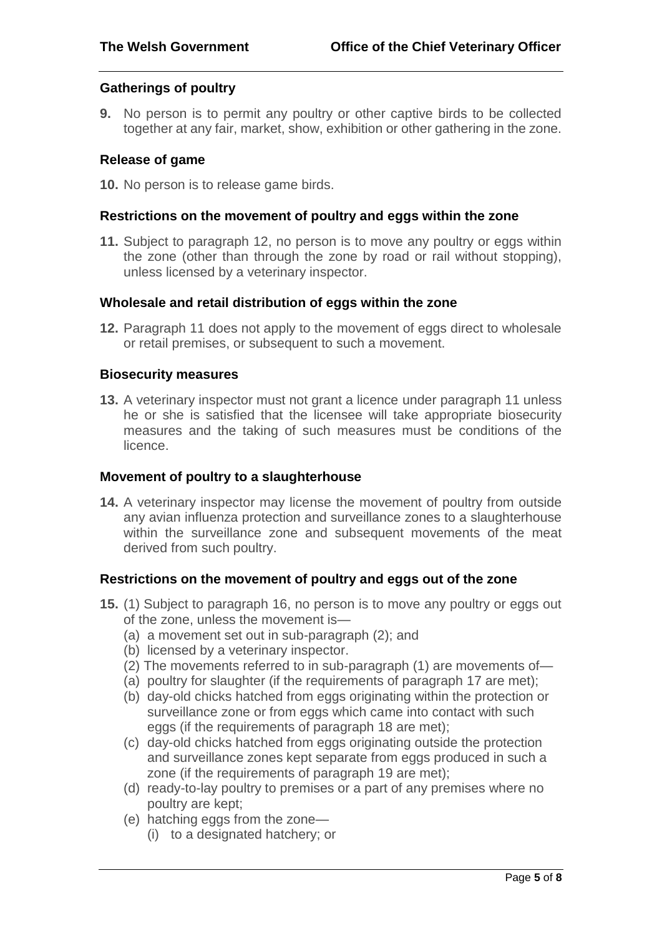#### **Gatherings of poultry**

**9.** No person is to permit any poultry or other captive birds to be collected together at any fair, market, show, exhibition or other gathering in the zone.

#### **Release of game**

**10.** No person is to release game birds.

#### **Restrictions on the movement of poultry and eggs within the zone**

**11.** Subject to paragraph 12, no person is to move any poultry or eggs within the zone (other than through the zone by road or rail without stopping), unless licensed by a veterinary inspector.

#### **Wholesale and retail distribution of eggs within the zone**

**12.** Paragraph 11 does not apply to the movement of eggs direct to wholesale or retail premises, or subsequent to such a movement.

#### **Biosecurity measures**

**13.** A veterinary inspector must not grant a licence under paragraph 11 unless he or she is satisfied that the licensee will take appropriate biosecurity measures and the taking of such measures must be conditions of the licence.

#### **Movement of poultry to a slaughterhouse**

**14.** A veterinary inspector may license the movement of poultry from outside any avian influenza protection and surveillance zones to a slaughterhouse within the surveillance zone and subsequent movements of the meat derived from such poultry.

#### **Restrictions on the movement of poultry and eggs out of the zone**

- **15.** (1) Subject to paragraph 16, no person is to move any poultry or eggs out of the zone, unless the movement is—
	- (a) a movement set out in sub-paragraph (2); and
	- (b) licensed by a veterinary inspector.
	- (2) The movements referred to in sub-paragraph (1) are movements of—
	- (a) poultry for slaughter (if the requirements of paragraph 17 are met);
	- (b) day-old chicks hatched from eggs originating within the protection or surveillance zone or from eggs which came into contact with such eggs (if the requirements of paragraph 18 are met);
	- (c) day-old chicks hatched from eggs originating outside the protection and surveillance zones kept separate from eggs produced in such a zone (if the requirements of paragraph 19 are met);
	- (d) ready-to-lay poultry to premises or a part of any premises where no poultry are kept;
	- (e) hatching eggs from the zone—
		- (i) to a designated hatchery; or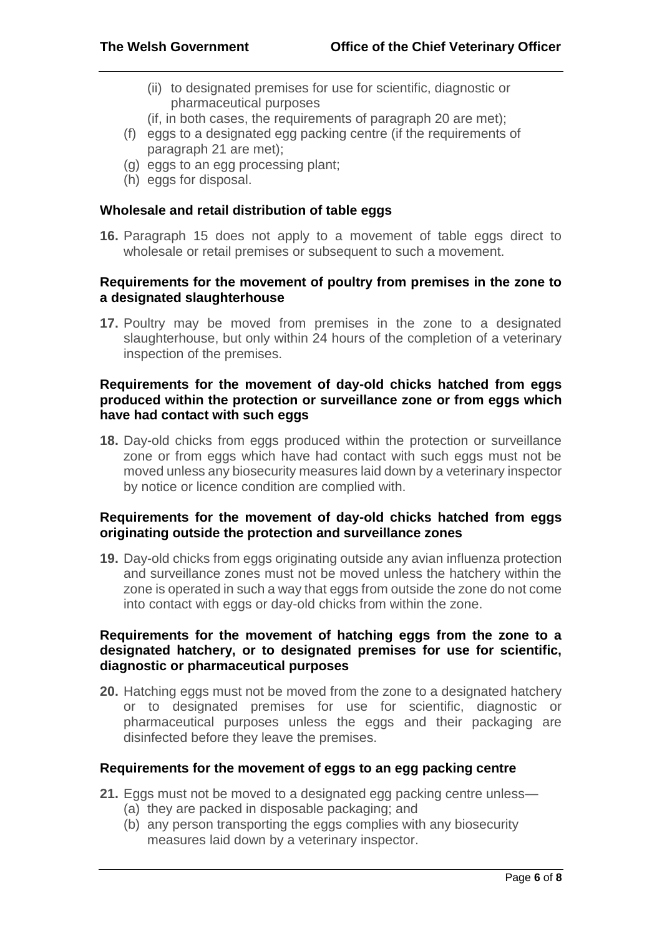- (ii) to designated premises for use for scientific, diagnostic or pharmaceutical purposes
- (if, in both cases, the requirements of paragraph 20 are met);
- (f) eggs to a designated egg packing centre (if the requirements of paragraph 21 are met);
- (g) eggs to an egg processing plant;
- (h) eggs for disposal.

#### **Wholesale and retail distribution of table eggs**

**16.** Paragraph 15 does not apply to a movement of table eggs direct to wholesale or retail premises or subsequent to such a movement.

### **Requirements for the movement of poultry from premises in the zone to a designated slaughterhouse**

**17.** Poultry may be moved from premises in the zone to a designated slaughterhouse, but only within 24 hours of the completion of a veterinary inspection of the premises.

# **Requirements for the movement of day-old chicks hatched from eggs produced within the protection or surveillance zone or from eggs which have had contact with such eggs**

**18.** Day-old chicks from eggs produced within the protection or surveillance zone or from eggs which have had contact with such eggs must not be moved unless any biosecurity measures laid down by a veterinary inspector by notice or licence condition are complied with.

# **Requirements for the movement of day-old chicks hatched from eggs originating outside the protection and surveillance zones**

**19.** Day-old chicks from eggs originating outside any avian influenza protection and surveillance zones must not be moved unless the hatchery within the zone is operated in such a way that eggs from outside the zone do not come into contact with eggs or day-old chicks from within the zone.

### **Requirements for the movement of hatching eggs from the zone to a designated hatchery, or to designated premises for use for scientific, diagnostic or pharmaceutical purposes**

**20.** Hatching eggs must not be moved from the zone to a designated hatchery or to designated premises for use for scientific, diagnostic or pharmaceutical purposes unless the eggs and their packaging are disinfected before they leave the premises.

# **Requirements for the movement of eggs to an egg packing centre**

- **21.** Eggs must not be moved to a designated egg packing centre unless—
	- (a) they are packed in disposable packaging; and
	- (b) any person transporting the eggs complies with any biosecurity measures laid down by a veterinary inspector.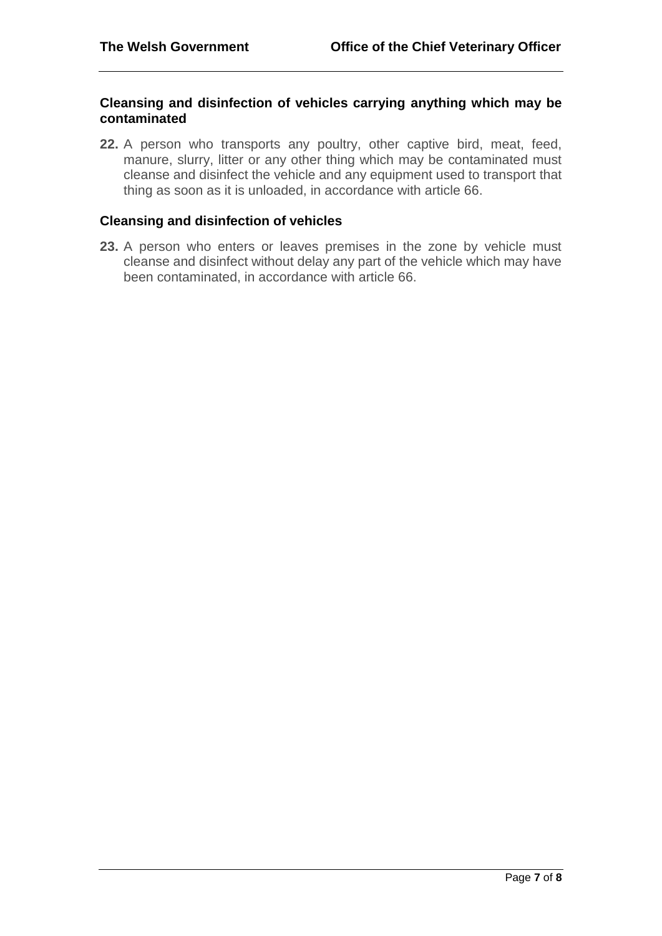### **Cleansing and disinfection of vehicles carrying anything which may be contaminated**

**22.** A person who transports any poultry, other captive bird, meat, feed, manure, slurry, litter or any other thing which may be contaminated must cleanse and disinfect the vehicle and any equipment used to transport that thing as soon as it is unloaded, in accordance with article 66.

# **Cleansing and disinfection of vehicles**

**23.** A person who enters or leaves premises in the zone by vehicle must cleanse and disinfect without delay any part of the vehicle which may have been contaminated, in accordance with article 66.